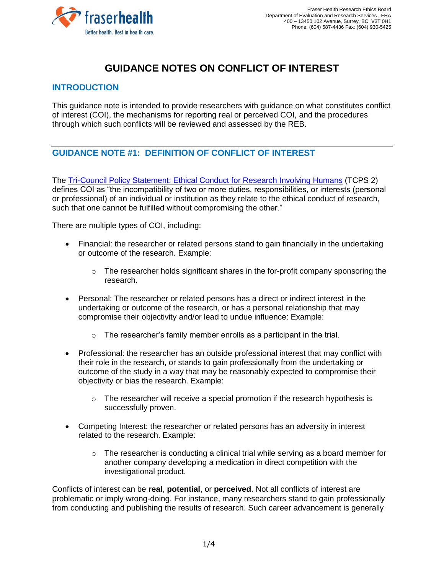

# **GUIDANCE NOTES ON CONFLICT OF INTEREST**

### **INTRODUCTION**

This guidance note is intended to provide researchers with guidance on what constitutes conflict of interest (COI), the mechanisms for reporting real or perceived COI, and the procedures through which such conflicts will be reviewed and assessed by the REB.

## **GUIDANCE NOTE #1: DEFINITION OF CONFLICT OF INTEREST**

The [Tri-Council Policy Statement: Ethical Conduct for Research Involving Humans](https://ethics.gc.ca/eng/tcps2-eptc2_2018_chapter7-chapitre7.html) (TCPS 2) defines COI as "the incompatibility of two or more duties, responsibilities, or interests (personal or professional) of an individual or institution as they relate to the ethical conduct of research, such that one cannot be fulfilled without compromising the other."

There are multiple types of COI, including:

- Financial: the researcher or related persons stand to gain financially in the undertaking or outcome of the research. Example:
	- $\circ$  The researcher holds significant shares in the for-profit company sponsoring the research.
- Personal: The researcher or related persons has a direct or indirect interest in the undertaking or outcome of the research, or has a personal relationship that may compromise their objectivity and/or lead to undue influence: Example:
	- $\circ$  The researcher's family member enrolls as a participant in the trial.
- Professional: the researcher has an outside professional interest that may conflict with their role in the research, or stands to gain professionally from the undertaking or outcome of the study in a way that may be reasonably expected to compromise their objectivity or bias the research. Example:
	- $\circ$  The researcher will receive a special promotion if the research hypothesis is successfully proven.
- Competing Interest: the researcher or related persons has an adversity in interest related to the research. Example:
	- $\circ$  The researcher is conducting a clinical trial while serving as a board member for another company developing a medication in direct competition with the investigational product.

Conflicts of interest can be **real**, **potential**, or **perceived**. Not all conflicts of interest are problematic or imply wrong-doing. For instance, many researchers stand to gain professionally from conducting and publishing the results of research. Such career advancement is generally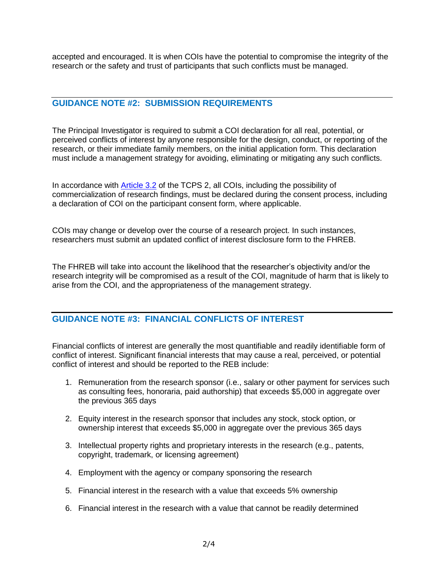accepted and encouraged. It is when COIs have the potential to compromise the integrity of the research or the safety and trust of participants that such conflicts must be managed.

#### **GUIDANCE NOTE #2: SUBMISSION REQUIREMENTS**

The Principal Investigator is required to submit a COI declaration for all real, potential, or perceived conflicts of interest by anyone responsible for the design, conduct, or reporting of the research, or their immediate family members, on the initial application form. This declaration must include a management strategy for avoiding, eliminating or mitigating any such conflicts.

In accordance with [Article 3.2](https://ethics.gc.ca/eng/tcps2-eptc2_2018_chapter3-chapitre3.html) of the TCPS 2, all COIs, including the possibility of commercialization of research findings, must be declared during the consent process, including a declaration of COI on the participant consent form, where applicable.

COIs may change or develop over the course of a research project. In such instances, researchers must submit an updated conflict of interest disclosure form to the FHREB.

The FHREB will take into account the likelihood that the researcher's objectivity and/or the research integrity will be compromised as a result of the COI, magnitude of harm that is likely to arise from the COI, and the appropriateness of the management strategy.

#### **GUIDANCE NOTE #3: FINANCIAL CONFLICTS OF INTEREST**

Financial conflicts of interest are generally the most quantifiable and readily identifiable form of conflict of interest. Significant financial interests that may cause a real, perceived, or potential conflict of interest and should be reported to the REB include:

- 1. Remuneration from the research sponsor (i.e., salary or other payment for services such as consulting fees, honoraria, paid authorship) that exceeds \$5,000 in aggregate over the previous 365 days
- 2. Equity interest in the research sponsor that includes any stock, stock option, or ownership interest that exceeds \$5,000 in aggregate over the previous 365 days
- 3. Intellectual property rights and proprietary interests in the research (e.g., patents, copyright, trademark, or licensing agreement)
- 4. Employment with the agency or company sponsoring the research
- 5. Financial interest in the research with a value that exceeds 5% ownership
- 6. Financial interest in the research with a value that cannot be readily determined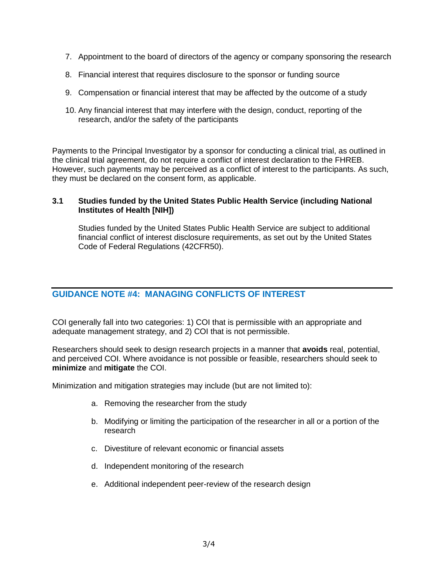- 7. Appointment to the board of directors of the agency or company sponsoring the research
- 8. Financial interest that requires disclosure to the sponsor or funding source
- 9. Compensation or financial interest that may be affected by the outcome of a study
- 10. Any financial interest that may interfere with the design, conduct, reporting of the research, and/or the safety of the participants

Payments to the Principal Investigator by a sponsor for conducting a clinical trial, as outlined in the clinical trial agreement, do not require a conflict of interest declaration to the FHREB. However, such payments may be perceived as a conflict of interest to the participants. As such, they must be declared on the consent form, as applicable.

#### **3.1 Studies funded by the United States Public Health Service (including National Institutes of Health [NIH])**

Studies funded by the United States Public Health Service are subject to additional financial conflict of interest disclosure requirements, as set out by the United States Code of Federal Regulations (42CFR50).

## **GUIDANCE NOTE #4: MANAGING CONFLICTS OF INTEREST**

COI generally fall into two categories: 1) COI that is permissible with an appropriate and adequate management strategy, and 2) COI that is not permissible.

Researchers should seek to design research projects in a manner that **avoids** real, potential, and perceived COI. Where avoidance is not possible or feasible, researchers should seek to **minimize** and **mitigate** the COI.

Minimization and mitigation strategies may include (but are not limited to):

- a. Removing the researcher from the study
- b. Modifying or limiting the participation of the researcher in all or a portion of the research
- c. Divestiture of relevant economic or financial assets
- d. Independent monitoring of the research
- e. Additional independent peer-review of the research design